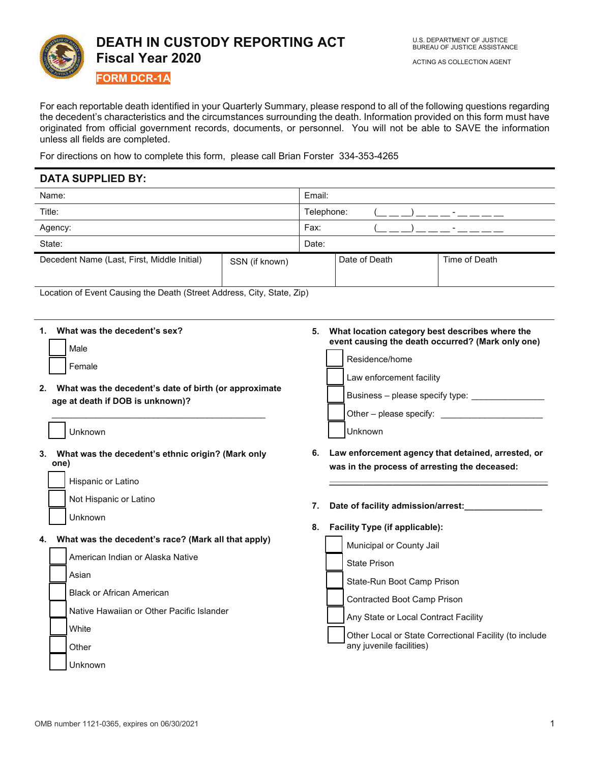

For each reportable death identified in your Quarterly Summary, please respond to all of the following questions regarding the decedent's characteristics and the circumstances surrounding the death. Information provided on this form must have originated from official government records, documents, or personnel. You will not be able to SAVE the information unless all fields are completed.

For directions on how to complete this form, please call Brian Forster 334-353-4265

# **DATA SUPPLIED BY:**

| Name:                                       |                | Email:     |               |                          |
|---------------------------------------------|----------------|------------|---------------|--------------------------|
| Title:                                      |                | Telephone: |               |                          |
| Agency:                                     |                | Fax:       |               | $\overline{\phantom{0}}$ |
| State:                                      |                | Date:      |               |                          |
| Decedent Name (Last, First, Middle Initial) | SSN (if known) |            | Date of Death | Time of Death            |

Location of Event Causing the Death (Street Address, City, State, Zip)

## **1 What was the decedent's sex?**

| Male   |
|--------|
| Female |

**2 What was the decedent's date of birth (or approximate age at death if DOB is unknown)?**

\_\_\_\_\_\_\_\_\_\_\_\_\_\_\_\_\_\_\_\_\_\_\_\_\_\_\_\_\_\_\_\_\_\_\_\_\_\_\_\_\_\_\_\_

## Unknown

**3 What was the decedent's ethnic origin? (Mark only one)**

| Hispanic or Latino |
|--------------------|
|--------------------|

Not Hispanic or Latino

# **4 What was the decedent's race? (Mark all that apply)**

| American Indian or Alaska Native          |
|-------------------------------------------|
| Asian                                     |
| <b>Black or African American</b>          |
| Native Hawaiian or Other Pacific Islander |
| White                                     |
| Other                                     |
| Unknown                                   |

 **What location category best describes where the event causing the death occurred? (Mark only one)**

| Residence/home                  |
|---------------------------------|
| Law enforcement facility        |
| Business - please specify type: |
| Other - please specify:         |
| Jnknown                         |

 **Law enforcement agency that detained, arrested, or was in the process of arresting the deceased:**

**\_\_\_\_\_\_\_\_\_\_\_\_\_\_\_\_\_\_\_\_\_\_\_\_\_\_\_\_\_\_\_\_\_\_\_\_\_\_\_\_\_\_\_\_\_**

**Date of facility admission/arrest:\_\_\_\_\_\_\_\_\_\_\_\_\_\_\_\_** 

#### **Facility Type (if applicable):**

|  | Municipal or County Jail                                                           |
|--|------------------------------------------------------------------------------------|
|  | <b>State Prison</b>                                                                |
|  | State-Run Boot Camp Prison                                                         |
|  | Contracted Boot Camp Prison                                                        |
|  | Any State or Local Contract Facility                                               |
|  | Other Local or State Correctional Facility (to include<br>any juvenile facilities) |